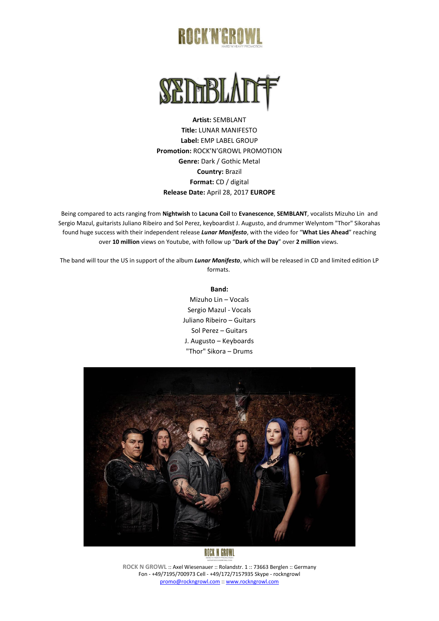# **ROCK'N'GRO**



**Artist:** SEMBLANT **Title:** LUNAR MANIFESTO **Label:** EMP LABEL GROUP **Promotion:** ROCK'N'GROWL PROMOTION **Genre:** Dark / Gothic Metal **Country:** Brazil **Format:** CD / digital **Release Date:** April 28, 2017 **EUROPE**

Being compared to acts ranging from **Nightwish** to **Lacuna Coil** to **Evanescence**, **SEMBLANT**, vocalists Mizuho Lin and Sergio Mazul, guitarists Juliano Ribeiro and Sol Perez, keyboardist J. Augusto, and drummer Welyntom "Thor" Sikorahas found huge success with their independent release *Lunar Manifesto*, with the video for "**What Lies Ahead**" reaching over **10 million** views on Youtube, with follow up "**Dark of the Day**" over **2 million** views.

The band will tour the US in support of the album *Lunar Manifesto*, which will be released in CD and limited edition LP formats.

#### **Band:**

Mizuho Lin – Vocals Sergio Mazul - Vocals Juliano Ribeiro – Guitars Sol Perez – Guitars J. Augusto – Keyboards "Thor" Sikora – Drums



**ROCK N GROWL** :: Axel Wiesenauer :: Rolandstr. 1 :: 73663 Berglen :: Germany Fon - +49/7195/700973 Cell - +49/172/7157935 Skype - rockngrowl [promo@rockngrowl.com](mailto:promo@rockngrowl.com) :[: www.rockngrowl.com](http://www.rockngrowl.com/)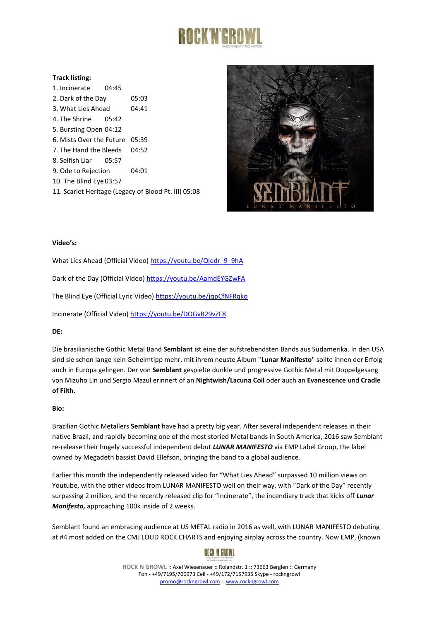

### **Track listing:**

| 1. Incinerate 04:45                                  |  |       |
|------------------------------------------------------|--|-------|
| 2. Dark of the Day                                   |  | 05:03 |
| 3. What Lies Ahead                                   |  | 04:41 |
| 4. The Shrine 05:42                                  |  |       |
| 5. Bursting Open 04:12                               |  |       |
| 6. Mists Over the Future 05:39                       |  |       |
| 7. The Hand the Bleeds                               |  | 04:52 |
| 8. Selfish Liar 05:57                                |  |       |
| 9. Ode to Rejection                                  |  | 04:01 |
| 10. The Blind Eye 03:57                              |  |       |
| 11. Scarlet Heritage (Legacy of Blood Pt. III) 05:08 |  |       |



#### **Video's:**

What Lies Ahead (Official Video) [https://youtu.be/QIedr\\_9\\_9hA](https://youtu.be/QIedr_9_9hA) Dark of the Day (Official Video)<https://youtu.be/AamdEYGZwFA> The Blind Eye (Official Lyric Video)<https://youtu.be/jqpCfNFRqko> Incinerate (Official Video)<https://youtu.be/DOGvB29vZF8>

## **DE:**

Die brasilianische Gothic Metal Band **Semblant** ist eine der aufstrebendsten Bands aus Südamerika. In den USA sind sie schon lange kein Geheimtipp mehr, mit ihrem neuste Album "**Lunar Manifesto**" sollte ihnen der Erfolg auch in Europa gelingen. Der von **Semblant** gespielte dunkle und progressive Gothic Metal mit Doppelgesang von Mizuho Lin und Sergio Mazul erinnert of an **Nightwish/Lacuna Coil** oder auch an **Evanescence** und **Cradle of Filth**.

#### **Bio:**

Brazilian Gothic Metallers **Semblant** have had a pretty big year. After several independent releases in their native Brazil, and rapidly becoming one of the most storied Metal bands in South America, 2016 saw Semblant re-release their hugely successful independent debut *LUNAR MANIFESTO* via EMP Label Group, the label owned by Megadeth bassist David Ellefson, bringing the band to a global audience.

Earlier this month the independently released video for "What Lies Ahead" surpassed 10 million views on Youtube, with the other videos from LUNAR MANIFESTO well on their way, with "Dark of the Day" recently surpassing 2 million, and the recently released clip for "Incinerate", the incendiary track that kicks off *Lunar Manifesto,* approaching 100k inside of 2 weeks.

Semblant found an embracing audience at US METAL radio in 2016 as well, with LUNAR MANIFESTO debuting at #4 most added on the CMJ LOUD ROCK CHARTS and enjoying airplay across the country. Now EMP, (known

# **ROCK N GROWL**

**ROCK N GROWL** :: Axel Wiesenauer :: Rolandstr. 1 :: 73663 Berglen :: Germany Fon - +49/7195/700973 Cell - +49/172/7157935 Skype - rockngrowl [promo@rockngrowl.com](mailto:promo@rockngrowl.com) :[: www.rockngrowl.com](http://www.rockngrowl.com/)